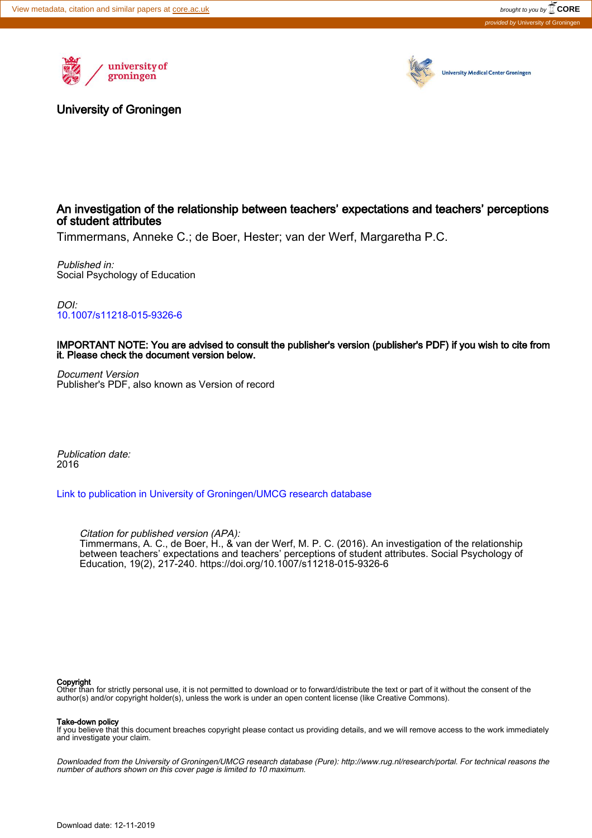



# University of Groningen

# An investigation of the relationship between teachers' expectations and teachers' perceptions of student attributes

Timmermans, Anneke C.; de Boer, Hester; van der Werf, Margaretha P.C.

Published in: Social Psychology of Education

DOI: [10.1007/s11218-015-9326-6](https://doi.org/10.1007/s11218-015-9326-6)

IMPORTANT NOTE: You are advised to consult the publisher's version (publisher's PDF) if you wish to cite from it. Please check the document version below.

Document Version Publisher's PDF, also known as Version of record

Publication date: 2016

[Link to publication in University of Groningen/UMCG research database](https://www.rug.nl/research/portal/en/publications/an-investigation-of-the-relationship-between-teachers-expectations-and-teachers-perceptions-of-student-attributes(81b15acb-2ee6-4333-ac3b-902980893d0d).html)

Citation for published version (APA): Timmermans, A. C., de Boer, H., & van der Werf, M. P. C. (2016). An investigation of the relationship between teachers' expectations and teachers' perceptions of student attributes. Social Psychology of Education, 19(2), 217-240. https://doi.org/10.1007/s11218-015-9326-6

#### **Copyright**

Other than for strictly personal use, it is not permitted to download or to forward/distribute the text or part of it without the consent of the author(s) and/or copyright holder(s), unless the work is under an open content license (like Creative Commons).

#### Take-down policy

If you believe that this document breaches copyright please contact us providing details, and we will remove access to the work immediately and investigate your claim.

Downloaded from the University of Groningen/UMCG research database (Pure): http://www.rug.nl/research/portal. For technical reasons the number of authors shown on this cover page is limited to 10 maximum.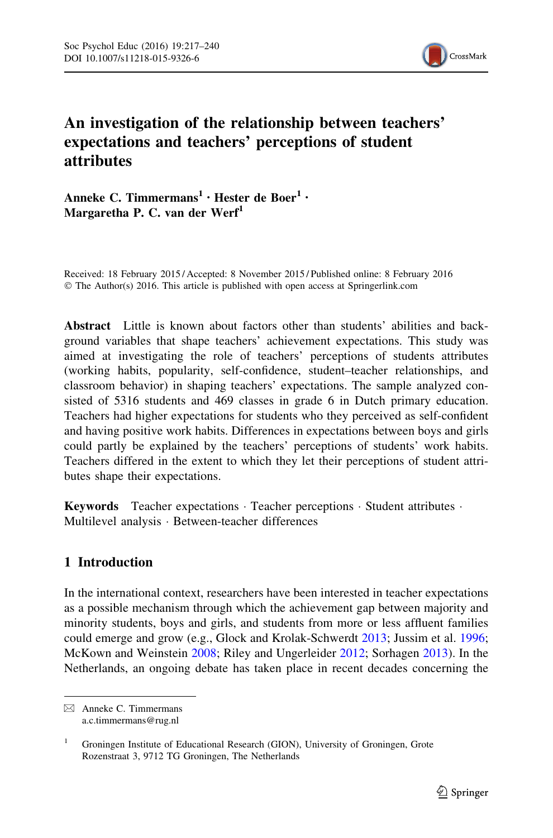

# An investigation of the relationship between teachers' expectations and teachers' perceptions of student attributes

Anneke C. Timmermans<sup>1</sup> • Hester de Boer<sup>1</sup> • Margaretha P. C. van der Werf<sup>1</sup>

Received: 18 February 2015 / Accepted: 8 November 2015 / Published online: 8 February 2016 © The Author(s) 2016. This article is published with open access at Springerlink.com

Abstract Little is known about factors other than students' abilities and background variables that shape teachers' achievement expectations. This study was aimed at investigating the role of teachers' perceptions of students attributes (working habits, popularity, self-confidence, student–teacher relationships, and classroom behavior) in shaping teachers' expectations. The sample analyzed consisted of 5316 students and 469 classes in grade 6 in Dutch primary education. Teachers had higher expectations for students who they perceived as self-confident and having positive work habits. Differences in expectations between boys and girls could partly be explained by the teachers' perceptions of students' work habits. Teachers differed in the extent to which they let their perceptions of student attributes shape their expectations.

Keywords Teacher expectations · Teacher perceptions · Student attributes · Multilevel analysis - Between-teacher differences

# 1 Introduction

In the international context, researchers have been interested in teacher expectations as a possible mechanism through which the achievement gap between majority and minority students, boys and girls, and students from more or less affluent families could emerge and grow (e.g., Glock and Krolak-Schwerdt [2013;](#page-22-0) Jussim et al. [1996;](#page-23-0) McKown and Weinstein [2008](#page-23-0); Riley and Ungerleider [2012](#page-24-0); Sorhagen [2013](#page-24-0)). In the Netherlands, an ongoing debate has taken place in recent decades concerning the

 $\boxtimes$  Anneke C. Timmermans a.c.timmermans@rug.nl

<sup>&</sup>lt;sup>1</sup> Groningen Institute of Educational Research (GION), University of Groningen, Grote Rozenstraat 3, 9712 TG Groningen, The Netherlands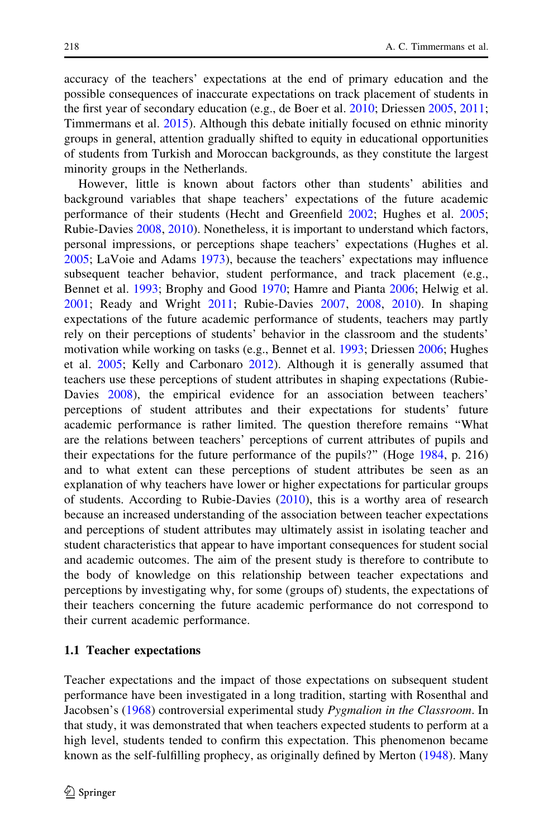accuracy of the teachers' expectations at the end of primary education and the possible consequences of inaccurate expectations on track placement of students in the first year of secondary education (e.g., de Boer et al. [2010;](#page-22-0) Driessen [2005,](#page-22-0) [2011;](#page-22-0) Timmermans et al. [2015](#page-24-0)). Although this debate initially focused on ethnic minority groups in general, attention gradually shifted to equity in educational opportunities of students from Turkish and Moroccan backgrounds, as they constitute the largest minority groups in the Netherlands.

However, little is known about factors other than students' abilities and background variables that shape teachers' expectations of the future academic performance of their students (Hecht and Greenfield [2002;](#page-23-0) Hughes et al. [2005;](#page-23-0) Rubie-Davies [2008,](#page-24-0) [2010\)](#page-24-0). Nonetheless, it is important to understand which factors, personal impressions, or perceptions shape teachers' expectations (Hughes et al. [2005;](#page-23-0) LaVoie and Adams [1973](#page-23-0)), because the teachers' expectations may influence subsequent teacher behavior, student performance, and track placement (e.g., Bennet et al. [1993;](#page-22-0) Brophy and Good [1970;](#page-22-0) Hamre and Pianta [2006;](#page-22-0) Helwig et al. [2001;](#page-23-0) Ready and Wright [2011](#page-23-0); Rubie-Davies [2007,](#page-24-0) [2008](#page-24-0), [2010](#page-24-0)). In shaping expectations of the future academic performance of students, teachers may partly rely on their perceptions of students' behavior in the classroom and the students' motivation while working on tasks (e.g., Bennet et al. [1993](#page-22-0); Driessen [2006](#page-22-0); Hughes et al. [2005](#page-23-0); Kelly and Carbonaro [2012\)](#page-23-0). Although it is generally assumed that teachers use these perceptions of student attributes in shaping expectations (Rubie-Davies [2008\)](#page-24-0), the empirical evidence for an association between teachers' perceptions of student attributes and their expectations for students' future academic performance is rather limited. The question therefore remains ''What are the relations between teachers' perceptions of current attributes of pupils and their expectations for the future performance of the pupils?'' (Hoge [1984](#page-23-0), p. 216) and to what extent can these perceptions of student attributes be seen as an explanation of why teachers have lower or higher expectations for particular groups of students. According to Rubie-Davies  $(2010)$  $(2010)$ , this is a worthy area of research because an increased understanding of the association between teacher expectations and perceptions of student attributes may ultimately assist in isolating teacher and student characteristics that appear to have important consequences for student social and academic outcomes. The aim of the present study is therefore to contribute to the body of knowledge on this relationship between teacher expectations and perceptions by investigating why, for some (groups of) students, the expectations of their teachers concerning the future academic performance do not correspond to their current academic performance.

#### 1.1 Teacher expectations

Teacher expectations and the impact of those expectations on subsequent student performance have been investigated in a long tradition, starting with Rosenthal and Jacobsen's [\(1968](#page-24-0)) controversial experimental study Pygmalion in the Classroom. In that study, it was demonstrated that when teachers expected students to perform at a high level, students tended to confirm this expectation. This phenomenon became known as the self-fulfilling prophecy, as originally defined by Merton ([1948\)](#page-23-0). Many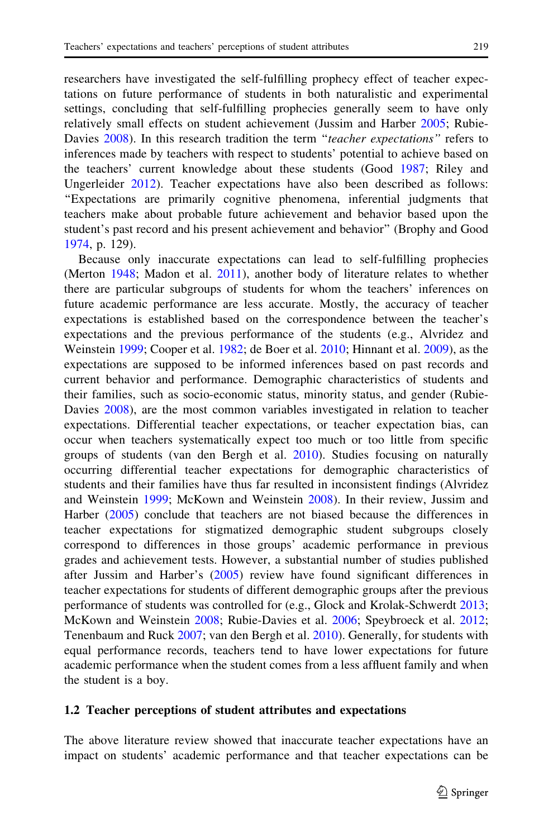researchers have investigated the self-fulfilling prophecy effect of teacher expectations on future performance of students in both naturalistic and experimental settings, concluding that self-fulfilling prophecies generally seem to have only relatively small effects on student achievement (Jussim and Harber [2005](#page-23-0); Rubie-Davies [2008\)](#page-24-0). In this research tradition the term "teacher expectations" refers to inferences made by teachers with respect to students' potential to achieve based on the teachers' current knowledge about these students (Good [1987](#page-22-0); Riley and Ungerleider [2012](#page-24-0)). Teacher expectations have also been described as follows: ''Expectations are primarily cognitive phenomena, inferential judgments that teachers make about probable future achievement and behavior based upon the student's past record and his present achievement and behavior'' (Brophy and Good [1974,](#page-22-0) p. 129).

Because only inaccurate expectations can lead to self-fulfilling prophecies (Merton [1948;](#page-23-0) Madon et al. [2011\)](#page-23-0), another body of literature relates to whether there are particular subgroups of students for whom the teachers' inferences on future academic performance are less accurate. Mostly, the accuracy of teacher expectations is established based on the correspondence between the teacher's expectations and the previous performance of the students (e.g., Alvridez and Weinstein [1999](#page-22-0); Cooper et al. [1982](#page-22-0); de Boer et al. [2010;](#page-22-0) Hinnant et al. [2009\)](#page-23-0), as the expectations are supposed to be informed inferences based on past records and current behavior and performance. Demographic characteristics of students and their families, such as socio-economic status, minority status, and gender (Rubie-Davies [2008\)](#page-24-0), are the most common variables investigated in relation to teacher expectations. Differential teacher expectations, or teacher expectation bias, can occur when teachers systematically expect too much or too little from specific groups of students (van den Bergh et al. [2010](#page-24-0)). Studies focusing on naturally occurring differential teacher expectations for demographic characteristics of students and their families have thus far resulted in inconsistent findings (Alvridez and Weinstein [1999;](#page-22-0) McKown and Weinstein [2008\)](#page-23-0). In their review, Jussim and Harber ([2005\)](#page-23-0) conclude that teachers are not biased because the differences in teacher expectations for stigmatized demographic student subgroups closely correspond to differences in those groups' academic performance in previous grades and achievement tests. However, a substantial number of studies published after Jussim and Harber's [\(2005](#page-23-0)) review have found significant differences in teacher expectations for students of different demographic groups after the previous performance of students was controlled for (e.g., Glock and Krolak-Schwerdt [2013;](#page-22-0) McKown and Weinstein [2008;](#page-23-0) Rubie-Davies et al. [2006;](#page-24-0) Speybroeck et al. [2012;](#page-24-0) Tenenbaum and Ruck [2007](#page-24-0); van den Bergh et al. [2010\)](#page-24-0). Generally, for students with equal performance records, teachers tend to have lower expectations for future academic performance when the student comes from a less affluent family and when the student is a boy.

### 1.2 Teacher perceptions of student attributes and expectations

The above literature review showed that inaccurate teacher expectations have an impact on students' academic performance and that teacher expectations can be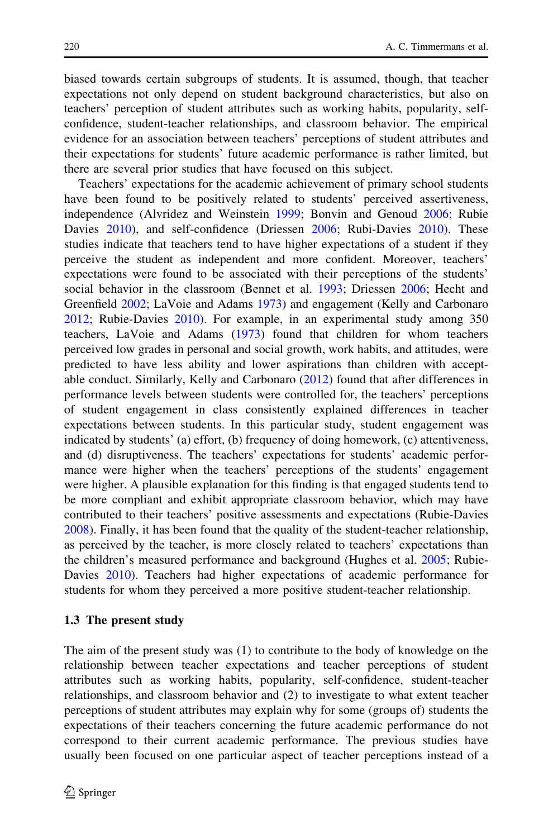biased towards certain subgroups of students. It is assumed, though, that teacher expectations not only depend on student background characteristics, but also on teachers' perception of student attributes such as working habits, popularity, selfconfidence, student-teacher relationships, and classroom behavior. The empirical evidence for an association between teachers' perceptions of student attributes and their expectations for students' future academic performance is rather limited, but there are several prior studies that have focused on this subject.

Teachers' expectations for the academic achievement of primary school students have been found to be positively related to students' perceived assertiveness, independence (Alvridez and Weinstein [1999](#page-22-0); Bonvin and Genoud [2006;](#page-22-0) Rubie Davies [2010\)](#page-24-0), and self-confidence (Driessen [2006;](#page-22-0) Rubi-Davies 2010). These studies indicate that teachers tend to have higher expectations of a student if they perceive the student as independent and more confident. Moreover, teachers' expectations were found to be associated with their perceptions of the students' social behavior in the classroom (Bennet et al. [1993;](#page-22-0) Driessen [2006;](#page-22-0) Hecht and Greenfield [2002](#page-23-0); LaVoie and Adams [1973](#page-23-0)) and engagement (Kelly and Carbonaro [2012;](#page-23-0) Rubie-Davies [2010\)](#page-24-0). For example, in an experimental study among 350 teachers, LaVoie and Adams [\(1973](#page-23-0)) found that children for whom teachers perceived low grades in personal and social growth, work habits, and attitudes, were predicted to have less ability and lower aspirations than children with acceptable conduct. Similarly, Kelly and Carbonaro [\(2012](#page-23-0)) found that after differences in performance levels between students were controlled for, the teachers' perceptions of student engagement in class consistently explained differences in teacher expectations between students. In this particular study, student engagement was indicated by students' (a) effort, (b) frequency of doing homework, (c) attentiveness, and (d) disruptiveness. The teachers' expectations for students' academic performance were higher when the teachers' perceptions of the students' engagement were higher. A plausible explanation for this finding is that engaged students tend to be more compliant and exhibit appropriate classroom behavior, which may have contributed to their teachers' positive assessments and expectations (Rubie-Davies [2008\)](#page-24-0). Finally, it has been found that the quality of the student-teacher relationship, as perceived by the teacher, is more closely related to teachers' expectations than the children's measured performance and background (Hughes et al. [2005;](#page-23-0) Rubie-Davies [2010](#page-24-0)). Teachers had higher expectations of academic performance for students for whom they perceived a more positive student-teacher relationship.

#### 1.3 The present study

The aim of the present study was (1) to contribute to the body of knowledge on the relationship between teacher expectations and teacher perceptions of student attributes such as working habits, popularity, self-confidence, student-teacher relationships, and classroom behavior and (2) to investigate to what extent teacher perceptions of student attributes may explain why for some (groups of) students the expectations of their teachers concerning the future academic performance do not correspond to their current academic performance. The previous studies have usually been focused on one particular aspect of teacher perceptions instead of a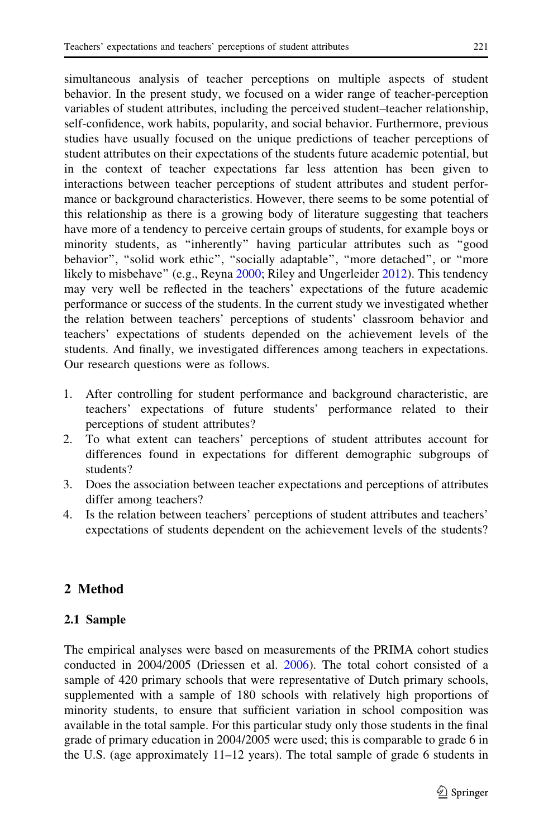simultaneous analysis of teacher perceptions on multiple aspects of student behavior. In the present study, we focused on a wider range of teacher-perception variables of student attributes, including the perceived student–teacher relationship, self-confidence, work habits, popularity, and social behavior. Furthermore, previous studies have usually focused on the unique predictions of teacher perceptions of student attributes on their expectations of the students future academic potential, but in the context of teacher expectations far less attention has been given to interactions between teacher perceptions of student attributes and student performance or background characteristics. However, there seems to be some potential of this relationship as there is a growing body of literature suggesting that teachers have more of a tendency to perceive certain groups of students, for example boys or minority students, as ''inherently'' having particular attributes such as ''good behavior", "solid work ethic", "socially adaptable", "more detached", or "more likely to misbehave" (e.g., Reyna [2000;](#page-23-0) Riley and Ungerleider [2012\)](#page-24-0). This tendency may very well be reflected in the teachers' expectations of the future academic performance or success of the students. In the current study we investigated whether the relation between teachers' perceptions of students' classroom behavior and teachers' expectations of students depended on the achievement levels of the students. And finally, we investigated differences among teachers in expectations. Our research questions were as follows.

- 1. After controlling for student performance and background characteristic, are teachers' expectations of future students' performance related to their perceptions of student attributes?
- 2. To what extent can teachers' perceptions of student attributes account for differences found in expectations for different demographic subgroups of students?
- 3. Does the association between teacher expectations and perceptions of attributes differ among teachers?
- 4. Is the relation between teachers' perceptions of student attributes and teachers' expectations of students dependent on the achievement levels of the students?

# 2 Method

# 2.1 Sample

The empirical analyses were based on measurements of the PRIMA cohort studies conducted in 2004/2005 (Driessen et al. [2006\)](#page-22-0). The total cohort consisted of a sample of 420 primary schools that were representative of Dutch primary schools, supplemented with a sample of 180 schools with relatively high proportions of minority students, to ensure that sufficient variation in school composition was available in the total sample. For this particular study only those students in the final grade of primary education in 2004/2005 were used; this is comparable to grade 6 in the U.S. (age approximately 11–12 years). The total sample of grade 6 students in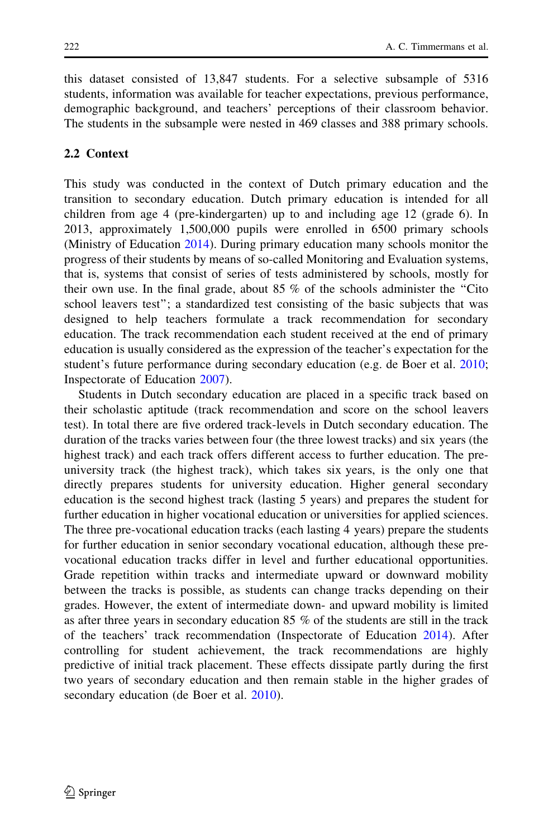this dataset consisted of 13,847 students. For a selective subsample of 5316 students, information was available for teacher expectations, previous performance, demographic background, and teachers' perceptions of their classroom behavior. The students in the subsample were nested in 469 classes and 388 primary schools.

### 2.2 Context

This study was conducted in the context of Dutch primary education and the transition to secondary education. Dutch primary education is intended for all children from age 4 (pre-kindergarten) up to and including age 12 (grade 6). In 2013, approximately 1,500,000 pupils were enrolled in 6500 primary schools (Ministry of Education [2014\)](#page-23-0). During primary education many schools monitor the progress of their students by means of so-called Monitoring and Evaluation systems, that is, systems that consist of series of tests administered by schools, mostly for their own use. In the final grade, about  $85\%$  of the schools administer the "Cito" school leavers test''; a standardized test consisting of the basic subjects that was designed to help teachers formulate a track recommendation for secondary education. The track recommendation each student received at the end of primary education is usually considered as the expression of the teacher's expectation for the student's future performance during secondary education (e.g. de Boer et al. [2010;](#page-22-0) Inspectorate of Education [2007\)](#page-23-0).

Students in Dutch secondary education are placed in a specific track based on their scholastic aptitude (track recommendation and score on the school leavers test). In total there are five ordered track-levels in Dutch secondary education. The duration of the tracks varies between four (the three lowest tracks) and six years (the highest track) and each track offers different access to further education. The preuniversity track (the highest track), which takes six years, is the only one that directly prepares students for university education. Higher general secondary education is the second highest track (lasting 5 years) and prepares the student for further education in higher vocational education or universities for applied sciences. The three pre-vocational education tracks (each lasting 4 years) prepare the students for further education in senior secondary vocational education, although these prevocational education tracks differ in level and further educational opportunities. Grade repetition within tracks and intermediate upward or downward mobility between the tracks is possible, as students can change tracks depending on their grades. However, the extent of intermediate down- and upward mobility is limited as after three years in secondary education 85 % of the students are still in the track of the teachers' track recommendation (Inspectorate of Education [2014](#page-23-0)). After controlling for student achievement, the track recommendations are highly predictive of initial track placement. These effects dissipate partly during the first two years of secondary education and then remain stable in the higher grades of secondary education (de Boer et al. [2010\)](#page-22-0).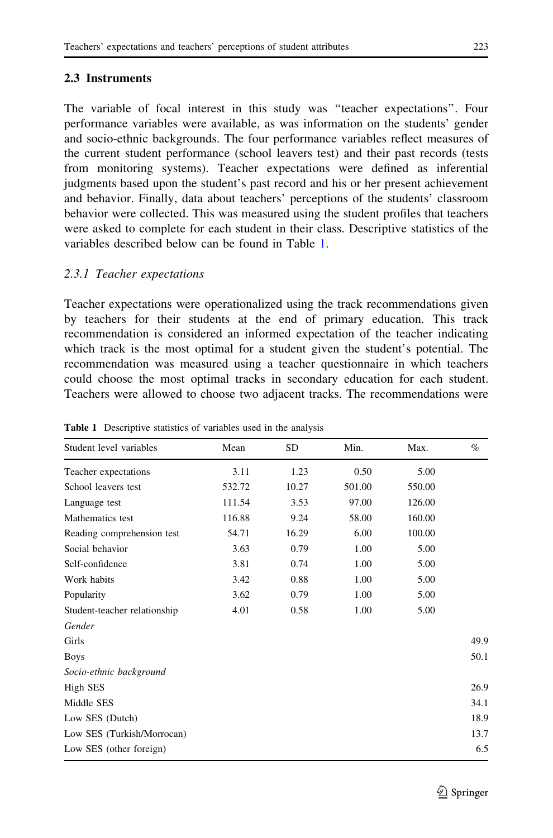### 2.3 Instruments

The variable of focal interest in this study was ''teacher expectations''. Four performance variables were available, as was information on the students' gender and socio-ethnic backgrounds. The four performance variables reflect measures of the current student performance (school leavers test) and their past records (tests from monitoring systems). Teacher expectations were defined as inferential judgments based upon the student's past record and his or her present achievement and behavior. Finally, data about teachers' perceptions of the students' classroom behavior were collected. This was measured using the student profiles that teachers were asked to complete for each student in their class. Descriptive statistics of the variables described below can be found in Table 1.

### 2.3.1 Teacher expectations

Teacher expectations were operationalized using the track recommendations given by teachers for their students at the end of primary education. This track recommendation is considered an informed expectation of the teacher indicating which track is the most optimal for a student given the student's potential. The recommendation was measured using a teacher questionnaire in which teachers could choose the most optimal tracks in secondary education for each student. Teachers were allowed to choose two adjacent tracks. The recommendations were

| Student level variables      | Mean   | SD    | Min.   | Max.   | $\%$ |
|------------------------------|--------|-------|--------|--------|------|
| Teacher expectations         | 3.11   | 1.23  | 0.50   | 5.00   |      |
| School leavers test          | 532.72 | 10.27 | 501.00 | 550.00 |      |
| Language test                | 111.54 | 3.53  | 97.00  | 126.00 |      |
| Mathematics test             | 116.88 | 9.24  | 58.00  | 160.00 |      |
| Reading comprehension test   | 54.71  | 16.29 | 6.00   | 100.00 |      |
| Social behavior              | 3.63   | 0.79  | 1.00   | 5.00   |      |
| Self-confidence              | 3.81   | 0.74  | 1.00   | 5.00   |      |
| Work habits                  | 3.42   | 0.88  | 1.00   | 5.00   |      |
| Popularity                   | 3.62   | 0.79  | 1.00   | 5.00   |      |
| Student-teacher relationship | 4.01   | 0.58  | 1.00   | 5.00   |      |
| Gender                       |        |       |        |        |      |
| Girls                        |        |       |        |        | 49.9 |
| <b>Boys</b>                  |        |       |        |        | 50.1 |
| Socio-ethnic background      |        |       |        |        |      |
| High SES                     |        |       |        |        | 26.9 |
| Middle SES                   |        |       |        |        | 34.1 |
| Low SES (Dutch)              |        |       |        |        | 18.9 |
| Low SES (Turkish/Morrocan)   |        |       |        |        | 13.7 |
| Low SES (other foreign)      |        |       |        |        | 6.5  |
|                              |        |       |        |        |      |

Table 1 Descriptive statistics of variables used in the analysis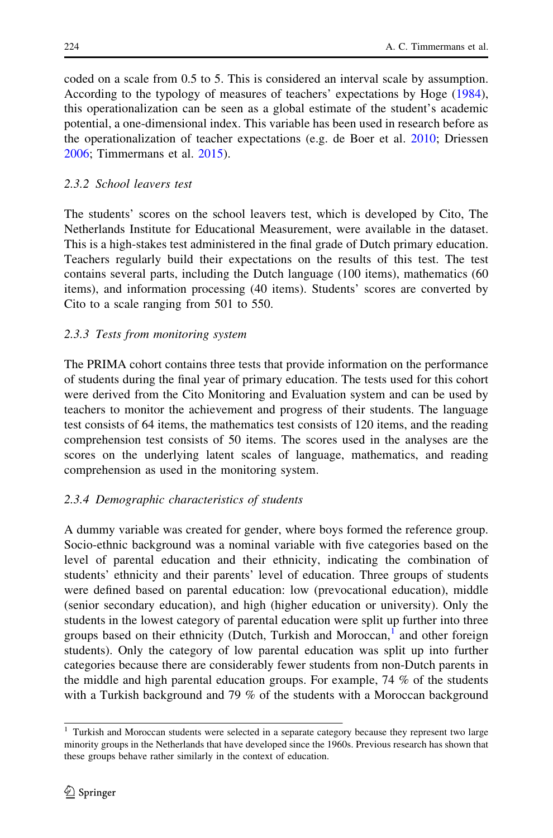coded on a scale from 0.5 to 5. This is considered an interval scale by assumption. According to the typology of measures of teachers' expectations by Hoge ([1984\)](#page-23-0), this operationalization can be seen as a global estimate of the student's academic potential, a one-dimensional index. This variable has been used in research before as the operationalization of teacher expectations (e.g. de Boer et al. [2010;](#page-22-0) Driessen [2006;](#page-22-0) Timmermans et al. [2015\)](#page-24-0).

# 2.3.2 School leavers test

The students' scores on the school leavers test, which is developed by Cito, The Netherlands Institute for Educational Measurement, were available in the dataset. This is a high-stakes test administered in the final grade of Dutch primary education. Teachers regularly build their expectations on the results of this test. The test contains several parts, including the Dutch language (100 items), mathematics (60 items), and information processing (40 items). Students' scores are converted by Cito to a scale ranging from 501 to 550.

# 2.3.3 Tests from monitoring system

The PRIMA cohort contains three tests that provide information on the performance of students during the final year of primary education. The tests used for this cohort were derived from the Cito Monitoring and Evaluation system and can be used by teachers to monitor the achievement and progress of their students. The language test consists of 64 items, the mathematics test consists of 120 items, and the reading comprehension test consists of 50 items. The scores used in the analyses are the scores on the underlying latent scales of language, mathematics, and reading comprehension as used in the monitoring system.

# 2.3.4 Demographic characteristics of students

A dummy variable was created for gender, where boys formed the reference group. Socio-ethnic background was a nominal variable with five categories based on the level of parental education and their ethnicity, indicating the combination of students' ethnicity and their parents' level of education. Three groups of students were defined based on parental education: low (prevocational education), middle (senior secondary education), and high (higher education or university). Only the students in the lowest category of parental education were split up further into three groups based on their ethnicity (Dutch, Turkish and Moroccan, $<sup>1</sup>$  and other foreign</sup> students). Only the category of low parental education was split up into further categories because there are considerably fewer students from non-Dutch parents in the middle and high parental education groups. For example, 74 % of the students with a Turkish background and 79 % of the students with a Moroccan background

<sup>&</sup>lt;sup>1</sup> Turkish and Moroccan students were selected in a separate category because they represent two large minority groups in the Netherlands that have developed since the 1960s. Previous research has shown that these groups behave rather similarly in the context of education.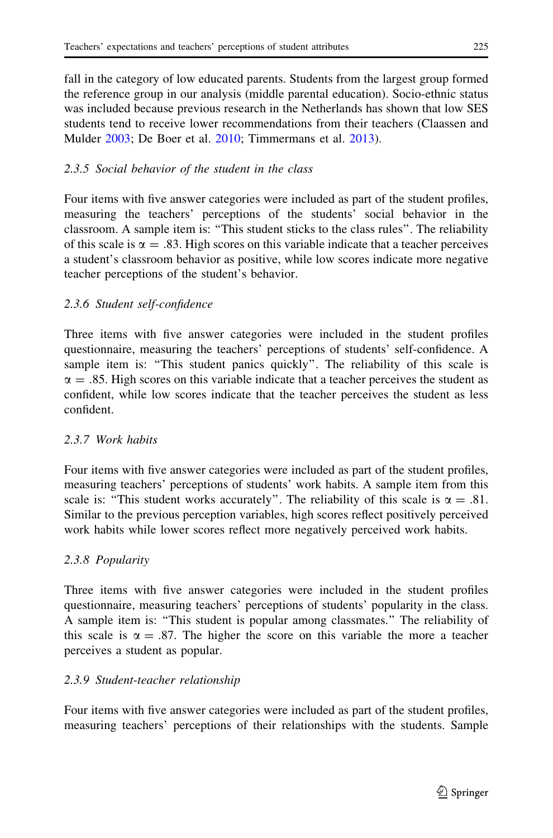fall in the category of low educated parents. Students from the largest group formed the reference group in our analysis (middle parental education). Socio-ethnic status was included because previous research in the Netherlands has shown that low SES students tend to receive lower recommendations from their teachers (Claassen and Mulder [2003;](#page-22-0) De Boer et al. [2010](#page-22-0); Timmermans et al. [2013\)](#page-24-0).

# 2.3.5 Social behavior of the student in the class

Four items with five answer categories were included as part of the student profiles, measuring the teachers' perceptions of the students' social behavior in the classroom. A sample item is: ''This student sticks to the class rules''. The reliability of this scale is  $\alpha = .83$ . High scores on this variable indicate that a teacher perceives a student's classroom behavior as positive, while low scores indicate more negative teacher perceptions of the student's behavior.

# 2.3.6 Student self-confidence

Three items with five answer categories were included in the student profiles questionnaire, measuring the teachers' perceptions of students' self-confidence. A sample item is: "This student panics quickly". The reliability of this scale is  $\alpha = 0.85$ . High scores on this variable indicate that a teacher perceives the student as confident, while low scores indicate that the teacher perceives the student as less confident.

# 2.3.7 Work habits

Four items with five answer categories were included as part of the student profiles, measuring teachers' perceptions of students' work habits. A sample item from this scale is: "This student works accurately". The reliability of this scale is  $\alpha = .81$ . Similar to the previous perception variables, high scores reflect positively perceived work habits while lower scores reflect more negatively perceived work habits.

# 2.3.8 Popularity

Three items with five answer categories were included in the student profiles questionnaire, measuring teachers' perceptions of students' popularity in the class. A sample item is: ''This student is popular among classmates.'' The reliability of this scale is  $\alpha = .87$ . The higher the score on this variable the more a teacher perceives a student as popular.

# 2.3.9 Student-teacher relationship

Four items with five answer categories were included as part of the student profiles, measuring teachers' perceptions of their relationships with the students. Sample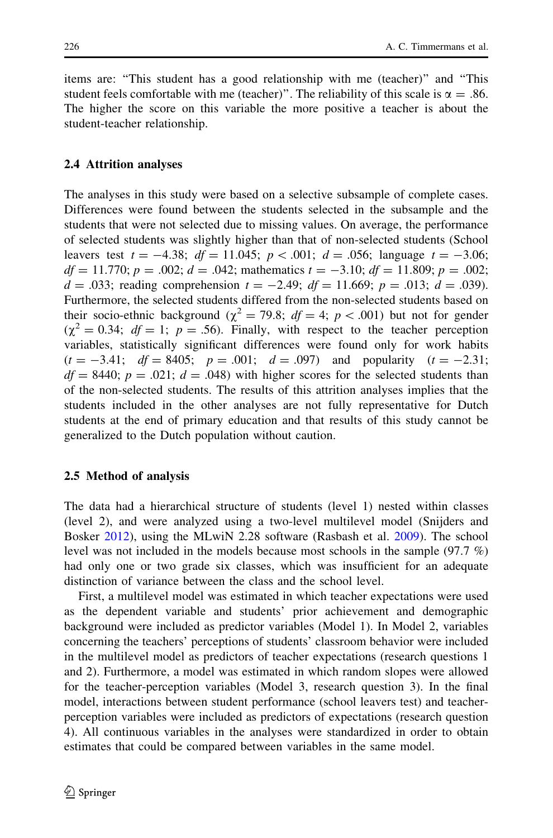items are: ''This student has a good relationship with me (teacher)'' and ''This student feels comfortable with me (teacher)". The reliability of this scale is  $\alpha = .86$ . The higher the score on this variable the more positive a teacher is about the student-teacher relationship.

#### 2.4 Attrition analyses

The analyses in this study were based on a selective subsample of complete cases. Differences were found between the students selected in the subsample and the students that were not selected due to missing values. On average, the performance of selected students was slightly higher than that of non-selected students (School leavers test  $t = -4.38$ ;  $df = 11.045$ ;  $p < .001$ ;  $d = .056$ ; language  $t = -3.06$ ;  $df = 11.770$ ;  $p = .002$ ;  $d = .042$ ; mathematics  $t = -3.10$ ;  $df = 11.809$ ;  $p = .002$ ;  $d = .033$ ; reading comprehension  $t = -2.49$ ;  $df = 11.669$ ;  $p = .013$ ;  $d = .039$ ). Furthermore, the selected students differed from the non-selected students based on their socio-ethnic background ( $\chi^2 = 79.8$ ;  $df = 4$ ;  $p < .001$ ) but not for gender  $(\chi^2 = 0.34; df = 1; p = .56)$ . Finally, with respect to the teacher perception variables, statistically significant differences were found only for work habits  $(t = -3.41; df = 8405; p = .001; d = .097)$  and popularity  $(t = -2.31;$  $df = 8440$ ;  $p = .021$ ;  $d = .048$ ) with higher scores for the selected students than of the non-selected students. The results of this attrition analyses implies that the students included in the other analyses are not fully representative for Dutch students at the end of primary education and that results of this study cannot be generalized to the Dutch population without caution.

### 2.5 Method of analysis

The data had a hierarchical structure of students (level 1) nested within classes (level 2), and were analyzed using a two-level multilevel model (Snijders and Bosker [2012\)](#page-24-0), using the MLwiN 2.28 software (Rasbash et al. [2009](#page-23-0)). The school level was not included in the models because most schools in the sample (97.7 %) had only one or two grade six classes, which was insufficient for an adequate distinction of variance between the class and the school level.

First, a multilevel model was estimated in which teacher expectations were used as the dependent variable and students' prior achievement and demographic background were included as predictor variables (Model 1). In Model 2, variables concerning the teachers' perceptions of students' classroom behavior were included in the multilevel model as predictors of teacher expectations (research questions 1 and 2). Furthermore, a model was estimated in which random slopes were allowed for the teacher-perception variables (Model 3, research question 3). In the final model, interactions between student performance (school leavers test) and teacherperception variables were included as predictors of expectations (research question 4). All continuous variables in the analyses were standardized in order to obtain estimates that could be compared between variables in the same model.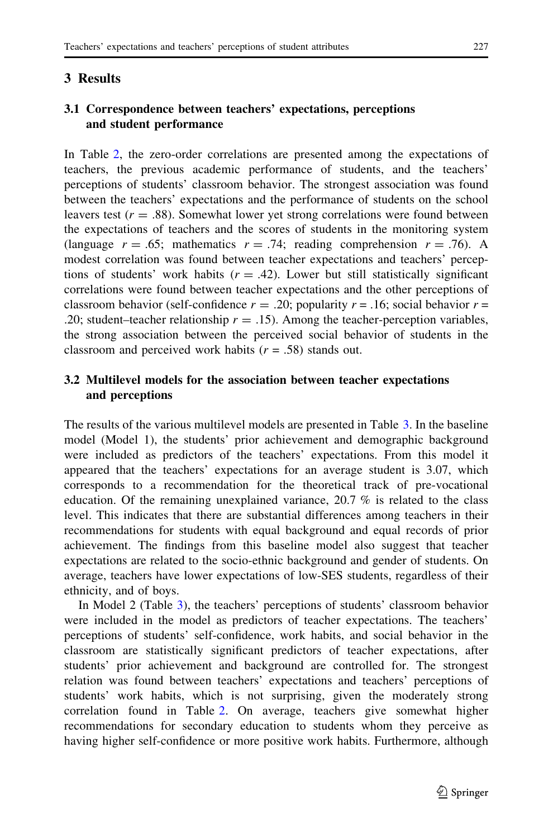### 3 Results

## 3.1 Correspondence between teachers' expectations, perceptions and student performance

In Table [2](#page-12-0), the zero-order correlations are presented among the expectations of teachers, the previous academic performance of students, and the teachers' perceptions of students' classroom behavior. The strongest association was found between the teachers' expectations and the performance of students on the school leavers test ( $r = .88$ ). Somewhat lower yet strong correlations were found between the expectations of teachers and the scores of students in the monitoring system (language  $r = .65$ ; mathematics  $r = .74$ ; reading comprehension  $r = .76$ ). A modest correlation was found between teacher expectations and teachers' perceptions of students' work habits  $(r = .42)$ . Lower but still statistically significant correlations were found between teacher expectations and the other perceptions of classroom behavior (self-confidence  $r = .20$ ; popularity  $r = .16$ ; social behavior  $r =$ .20; student–teacher relationship  $r = .15$ ). Among the teacher-perception variables, the strong association between the perceived social behavior of students in the classroom and perceived work habits ( $r = .58$ ) stands out.

## 3.2 Multilevel models for the association between teacher expectations and perceptions

The results of the various multilevel models are presented in Table [3](#page-13-0). In the baseline model (Model 1), the students' prior achievement and demographic background were included as predictors of the teachers' expectations. From this model it appeared that the teachers' expectations for an average student is 3.07, which corresponds to a recommendation for the theoretical track of pre-vocational education. Of the remaining unexplained variance, 20.7 % is related to the class level. This indicates that there are substantial differences among teachers in their recommendations for students with equal background and equal records of prior achievement. The findings from this baseline model also suggest that teacher expectations are related to the socio-ethnic background and gender of students. On average, teachers have lower expectations of low-SES students, regardless of their ethnicity, and of boys.

In Model 2 (Table [3\)](#page-13-0), the teachers' perceptions of students' classroom behavior were included in the model as predictors of teacher expectations. The teachers' perceptions of students' self-confidence, work habits, and social behavior in the classroom are statistically significant predictors of teacher expectations, after students' prior achievement and background are controlled for. The strongest relation was found between teachers' expectations and teachers' perceptions of students' work habits, which is not surprising, given the moderately strong correlation found in Table [2](#page-12-0). On average, teachers give somewhat higher recommendations for secondary education to students whom they perceive as having higher self-confidence or more positive work habits. Furthermore, although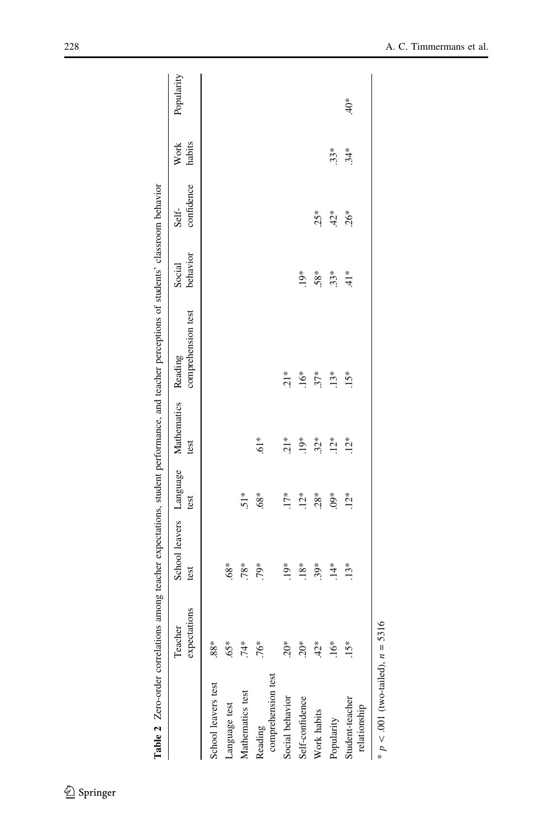<span id="page-12-0"></span>

|                                            |                         |                                                     |            |            | Table 2 Zero-order correlations among teacher expectations, student performance, and teacher perceptions of students' classroom behavior |                    |                     |                |               |
|--------------------------------------------|-------------------------|-----------------------------------------------------|------------|------------|------------------------------------------------------------------------------------------------------------------------------------------|--------------------|---------------------|----------------|---------------|
|                                            | expectations<br>Teacher | School leavers Language Mathematics Reading<br>test | test       | test       | comprehension test                                                                                                                       | behavior<br>Social | confidence<br>Self- | habits<br>Work | Popularity    |
| School leavers test                        | $88*$                   |                                                     |            |            |                                                                                                                                          |                    |                     |                |               |
| Language test                              | $65*$                   | $.68*$                                              |            |            |                                                                                                                                          |                    |                     |                |               |
| Mathematics test                           | $74*$                   | $78*$                                               | $51*$      |            |                                                                                                                                          |                    |                     |                |               |
| Reading                                    | 76*                     | $79*$                                               | $.68*$     | $\ddot{5}$ |                                                                                                                                          |                    |                     |                |               |
| comprehension test                         |                         |                                                     |            |            |                                                                                                                                          |                    |                     |                |               |
| Social behavior                            | $20*$                   | $\stackrel{*}{\geq}$                                | $17*$      | $21*$      | $\frac{1}{21}$                                                                                                                           |                    |                     |                |               |
| Self-confidence                            | žQ*                     | $.18*$                                              | $.12*$     | $19*$      | $.16*$                                                                                                                                   | $19*$              |                     |                |               |
| Work habits                                | $42*$                   | $.39*$                                              | $28*$      | $32*$      | $.37*$                                                                                                                                   | $.58*$             | $25*$               |                |               |
| Popularity                                 | $\ddot{6}^*$            | $\ddot{1}4$                                         | $\ddot{9}$ | $12*$      | $.13*$                                                                                                                                   | $33*$              | $42*$               | $.33*$         |               |
| Student-teacher                            | $15*$                   | $.13*$                                              | $12*$      | $12*$      | $15*$                                                                                                                                    | $\frac{*}{4}$      | $26*$               | $34*$          | $\ddot{ }$ \$ |
| relationship                               |                         |                                                     |            |            |                                                                                                                                          |                    |                     |                |               |
| $* \sim \text{OM}$ (hm tollock) $* = 5216$ |                         |                                                     |            |            |                                                                                                                                          |                    |                     |                |               |

 $p < .001$  (two-tailed),  $n = 5316$  $p < .001$  (two-tailed),  $n = 5316$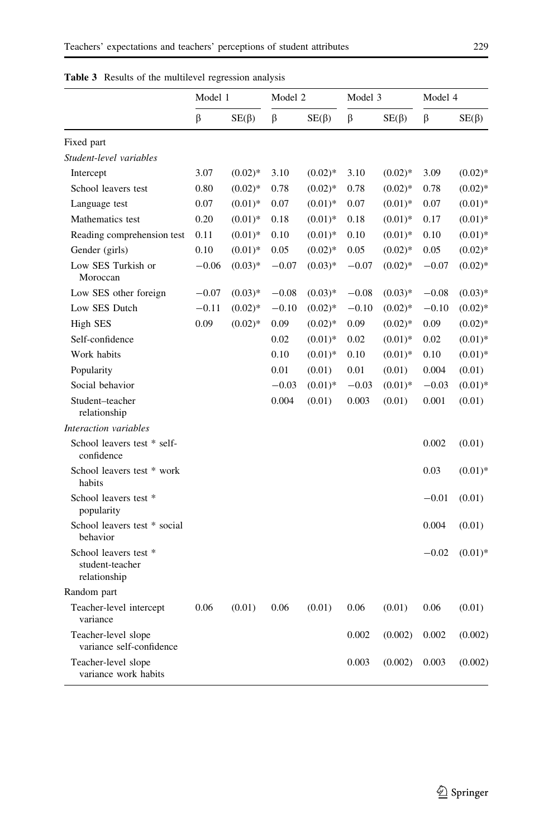|                                                          | Model 1 |             | Model 2 |             | Model 3 |             | Model 4 |             |
|----------------------------------------------------------|---------|-------------|---------|-------------|---------|-------------|---------|-------------|
|                                                          | $\beta$ | $SE(\beta)$ | β       | $SE(\beta)$ | β       | $SE(\beta)$ | β       | $SE(\beta)$ |
| Fixed part                                               |         |             |         |             |         |             |         |             |
| Student-level variables                                  |         |             |         |             |         |             |         |             |
| Intercept                                                | 3.07    | $(0.02)*$   | 3.10    | $(0.02)*$   | 3.10    | $(0.02)*$   | 3.09    | $(0.02)*$   |
| School leavers test                                      | 0.80    | $(0.02)*$   | 0.78    | $(0.02)*$   | 0.78    | $(0.02)*$   | 0.78    | $(0.02)*$   |
| Language test                                            | 0.07    | $(0.01)*$   | 0.07    | $(0.01)*$   | 0.07    | $(0.01)*$   | 0.07    | $(0.01)$ *  |
| Mathematics test                                         | 0.20    | $(0.01)*$   | 0.18    | $(0.01)*$   | 0.18    | $(0.01)*$   | 0.17    | $(0.01)*$   |
| Reading comprehension test                               | 0.11    | $(0.01)*$   | 0.10    | $(0.01)*$   | 0.10    | $(0.01)*$   | 0.10    | $(0.01)*$   |
| Gender (girls)                                           | 0.10    | $(0.01)*$   | 0.05    | $(0.02)*$   | 0.05    | $(0.02)*$   | 0.05    | $(0.02)*$   |
| Low SES Turkish or<br>Moroccan                           | $-0.06$ | $(0.03)*$   | $-0.07$ | $(0.03)*$   | $-0.07$ | $(0.02)*$   | $-0.07$ | $(0.02)*$   |
| Low SES other foreign                                    | $-0.07$ | $(0.03)*$   | $-0.08$ | $(0.03)*$   | $-0.08$ | $(0.03)*$   | $-0.08$ | $(0.03)*$   |
| Low SES Dutch                                            | $-0.11$ | $(0.02)*$   | $-0.10$ | $(0.02)*$   | $-0.10$ | $(0.02)*$   | $-0.10$ | $(0.02)*$   |
| <b>High SES</b>                                          | 0.09    | $(0.02)*$   | 0.09    | $(0.02)*$   | 0.09    | $(0.02)*$   | 0.09    | $(0.02)*$   |
| Self-confidence                                          |         |             | 0.02    | $(0.01)*$   | 0.02    | $(0.01)$ *  | 0.02    | $(0.01)*$   |
| Work habits                                              |         |             | 0.10    | $(0.01)$ *  | 0.10    | $(0.01)*$   | 0.10    | $(0.01)$ *  |
| Popularity                                               |         |             | 0.01    | (0.01)      | 0.01    | (0.01)      | 0.004   | (0.01)      |
| Social behavior                                          |         |             | $-0.03$ | $(0.01)*$   | $-0.03$ | $(0.01)*$   | $-0.03$ | $(0.01)$ *  |
| Student-teacher<br>relationship                          |         |             | 0.004   | (0.01)      | 0.003   | (0.01)      | 0.001   | (0.01)      |
| Interaction variables                                    |         |             |         |             |         |             |         |             |
| School leavers test * self-<br>confidence                |         |             |         |             |         |             | 0.002   | (0.01)      |
| School leavers test * work<br>habits                     |         |             |         |             |         |             | 0.03    | $(0.01)*$   |
| School leavers test *<br>popularity                      |         |             |         |             |         |             | $-0.01$ | (0.01)      |
| School leavers test * social<br>behavior                 |         |             |         |             |         |             | 0.004   | (0.01)      |
| School leavers test *<br>student-teacher<br>relationship |         |             |         |             |         |             | $-0.02$ | $(0.01)*$   |
| Random part                                              |         |             |         |             |         |             |         |             |
| Teacher-level intercept<br>variance                      | 0.06    | (0.01)      | 0.06    | (0.01)      | 0.06    | (0.01)      | 0.06    | (0.01)      |
| Teacher-level slope<br>variance self-confidence          |         |             |         |             | 0.002   | (0.002)     | 0.002   | (0.002)     |
| Teacher-level slope<br>variance work habits              |         |             |         |             | 0.003   | (0.002)     | 0.003   | (0.002)     |

<span id="page-13-0"></span>Table 3 Results of the multilevel regression analysis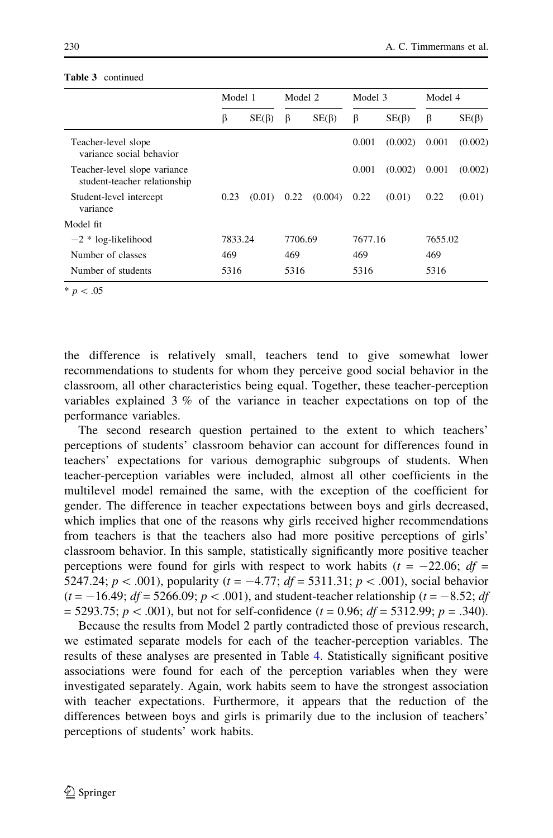|                                                              | Model 1 |             | Model 2 |             | Model 3 |             | Model 4 |             |
|--------------------------------------------------------------|---------|-------------|---------|-------------|---------|-------------|---------|-------------|
|                                                              | β       | $SE(\beta)$ | β       | $SE(\beta)$ | β       | $SE(\beta)$ | β       | $SE(\beta)$ |
| Teacher-level slope<br>variance social behavior              |         |             |         |             | 0.001   | (0.002)     | 0.001   | (0.002)     |
| Teacher-level slope variance<br>student-teacher relationship |         |             |         |             | 0.001   | (0.002)     | 0.001   | (0.002)     |
| Student-level intercept<br>variance                          | 0.23    | (0.01)      | 0.22    | (0.004)     | 0.22    | (0.01)      | 0.22    | (0.01)      |
| Model fit                                                    |         |             |         |             |         |             |         |             |
| $-2 * log-likelihood$                                        | 7833.24 |             | 7706.69 |             | 7677.16 |             | 7655.02 |             |
| Number of classes                                            | 469     |             | 469     |             | 469     |             | 469     |             |
| Number of students                                           | 5316    |             | 5316    |             | 5316    |             | 5316    |             |

#### Table 3 continued

 $* p < .05$ 

the difference is relatively small, teachers tend to give somewhat lower recommendations to students for whom they perceive good social behavior in the classroom, all other characteristics being equal. Together, these teacher-perception variables explained 3 % of the variance in teacher expectations on top of the performance variables.

The second research question pertained to the extent to which teachers' perceptions of students' classroom behavior can account for differences found in teachers' expectations for various demographic subgroups of students. When teacher-perception variables were included, almost all other coefficients in the multilevel model remained the same, with the exception of the coefficient for gender. The difference in teacher expectations between boys and girls decreased, which implies that one of the reasons why girls received higher recommendations from teachers is that the teachers also had more positive perceptions of girls' classroom behavior. In this sample, statistically significantly more positive teacher perceptions were found for girls with respect to work habits ( $t = -22.06$ ;  $df =$ 5247.24;  $p < .001$ ), popularity ( $t = -4.77$ ;  $df = 5311.31$ ;  $p < .001$ ), social behavior  $(t = -16.49; df = 5266.09; p < .001)$ , and student-teacher relationship ( $t = -8.52; df$ ) = 5293.75;  $p < .001$ ), but not for self-confidence (t = 0.96;  $df = 5312.99$ ; p = .340).

Because the results from Model 2 partly contradicted those of previous research, we estimated separate models for each of the teacher-perception variables. The results of these analyses are presented in Table [4](#page-15-0). Statistically significant positive associations were found for each of the perception variables when they were investigated separately. Again, work habits seem to have the strongest association with teacher expectations. Furthermore, it appears that the reduction of the differences between boys and girls is primarily due to the inclusion of teachers' perceptions of students' work habits.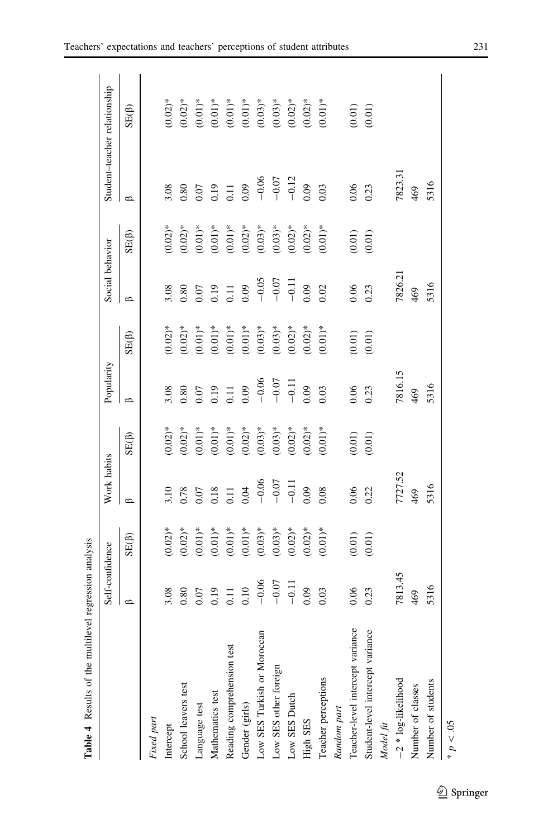<span id="page-15-0"></span>

| Table 4 Results of the multilevel regression analysis |                                                                                                                                                                                                                                                                                                                                              |                                                                                                |                  |                                                                                                                                         |                                       |                                                                                                                                               |                                                      |                                                                                                                      |                                                                                        |                                                                                                                                               |
|-------------------------------------------------------|----------------------------------------------------------------------------------------------------------------------------------------------------------------------------------------------------------------------------------------------------------------------------------------------------------------------------------------------|------------------------------------------------------------------------------------------------|------------------|-----------------------------------------------------------------------------------------------------------------------------------------|---------------------------------------|-----------------------------------------------------------------------------------------------------------------------------------------------|------------------------------------------------------|----------------------------------------------------------------------------------------------------------------------|----------------------------------------------------------------------------------------|-----------------------------------------------------------------------------------------------------------------------------------------------|
|                                                       | Self-confidence                                                                                                                                                                                                                                                                                                                              |                                                                                                | Work habits      |                                                                                                                                         | Popularity                            |                                                                                                                                               | Social behavior                                      |                                                                                                                      |                                                                                        | Student-teacher relationship                                                                                                                  |
|                                                       | $\circ$                                                                                                                                                                                                                                                                                                                                      | $SE(\beta)$                                                                                    | $\circ$          | $SE(\beta)$                                                                                                                             | $\circ$                               | $SE(\beta)$                                                                                                                                   | $\circ$                                              | $SE(\beta)$                                                                                                          | $\circ$                                                                                | $SE(\beta)$                                                                                                                                   |
| Fixed part                                            |                                                                                                                                                                                                                                                                                                                                              |                                                                                                |                  |                                                                                                                                         |                                       |                                                                                                                                               |                                                      |                                                                                                                      |                                                                                        |                                                                                                                                               |
| Intercept                                             |                                                                                                                                                                                                                                                                                                                                              | $0.02)*$                                                                                       |                  |                                                                                                                                         | 3.08                                  |                                                                                                                                               | 3.08                                                 | $(0.02)$ *                                                                                                           | 3.08                                                                                   |                                                                                                                                               |
| School leavers test                                   | $\begin{array}{l} 3.08 \\ 0.80 \\ 0.07 \\ 0.19 \\ 0.10 \\ -0.06 \\ -0.07 \\ -0.07 \\ -0.07 \\ -0.07 \\ -0.09 \\ -0.09 \\ -0.09 \\ -0.09 \\ -0.09 \\ -0.09 \\ -0.09 \\ -0.09 \\ -0.09 \\ -0.09 \\ -0.09 \\ -0.09 \\ -0.09 \\ -0.09 \\ -0.09 \\ -0.00 \\ -0.00 \\ -0.00 \\ -0.00 \\ -0.00 \\ -0.00 \\ -0.00 \\ -0.00 \\ -0.00 \\ -0.00 \\ -0.$ | $(0.02)$ *                                                                                     |                  | $(0.02)*$<br>$(0.02)*$                                                                                                                  | 0.80                                  |                                                                                                                                               | 0.80                                                 | $(0.02)$ *                                                                                                           |                                                                                        |                                                                                                                                               |
| Language test                                         |                                                                                                                                                                                                                                                                                                                                              |                                                                                                |                  |                                                                                                                                         |                                       |                                                                                                                                               | 0.07<br>0.19<br>0.09<br>0.05<br>0.07<br>0.02<br>0.02 |                                                                                                                      | $0.30$<br>$0.07$<br>$0.19$<br>$0.06$<br>$0.06$<br>$0.07$<br>$0.07$<br>$0.03$<br>$0.03$ |                                                                                                                                               |
| Mathematics test                                      |                                                                                                                                                                                                                                                                                                                                              |                                                                                                |                  |                                                                                                                                         |                                       |                                                                                                                                               |                                                      |                                                                                                                      |                                                                                        |                                                                                                                                               |
| Reading comprehension test                            |                                                                                                                                                                                                                                                                                                                                              |                                                                                                |                  |                                                                                                                                         | $0.07$<br>0.19<br>0.11                |                                                                                                                                               |                                                      |                                                                                                                      |                                                                                        |                                                                                                                                               |
| Gender (girls)                                        |                                                                                                                                                                                                                                                                                                                                              |                                                                                                |                  |                                                                                                                                         | 0.09                                  |                                                                                                                                               |                                                      |                                                                                                                      |                                                                                        |                                                                                                                                               |
| Low SES Turkish or Moroccan                           |                                                                                                                                                                                                                                                                                                                                              | $(0.01)^*$<br>$(0.01)^*$<br>$(0.01)^*$<br>$(0.01)^*$<br>$(0.03)^*$<br>$(0.03)^*$<br>$(0.02)^*$ |                  |                                                                                                                                         | $-0.06$<br>$-0.07$<br>$-0.11$<br>0.09 |                                                                                                                                               |                                                      |                                                                                                                      |                                                                                        |                                                                                                                                               |
| Low SES other foreign                                 |                                                                                                                                                                                                                                                                                                                                              |                                                                                                |                  |                                                                                                                                         |                                       |                                                                                                                                               |                                                      |                                                                                                                      |                                                                                        |                                                                                                                                               |
| Low SES Dutch                                         |                                                                                                                                                                                                                                                                                                                                              |                                                                                                |                  |                                                                                                                                         |                                       |                                                                                                                                               |                                                      |                                                                                                                      |                                                                                        |                                                                                                                                               |
| High SES                                              |                                                                                                                                                                                                                                                                                                                                              |                                                                                                |                  |                                                                                                                                         |                                       |                                                                                                                                               |                                                      |                                                                                                                      |                                                                                        |                                                                                                                                               |
| Teacher perceptions                                   | 0.03                                                                                                                                                                                                                                                                                                                                         | $(0.01)$ *                                                                                     |                  | $\begin{array}{l} (0.01)^* \\ (0.01)^* \\ (0.01)^* \\ (0.02)^* \\ (0.03)^* \\ (0.03)^* \\ (0.02)^* \\ (0.01)^* \\ (0.01)^* \end{array}$ | 0.03                                  | $(0.02)^{*}$<br>$(0.01)^{*}$<br>$(0.01)^{*}$<br>$(0.01)^{*}$<br>$(0.01)^{*}$<br>$(0.001)^{*}$<br>$(0.03)^{*}$<br>$(0.03)^{*}$<br>$(0.02)^{*}$ |                                                      | $(0.01)^{*}$ $(0.01)^{*}$ $(0.01)^{*}$ $(0.02)^{*}$ $(0.03)^{*}$ $(0.03)^{*}$ $(0.03)^{*}$ $(0.02)^{*}$ $(0.02)^{*}$ |                                                                                        | $(0.02)^{*}_{0.02}$ $(0.01)^{*}_{0.01}$ $(0.01)^{*}_{0.01}$ $(0.01)^{*}_{0.01}$ $(0.01)^{*}_{0.01}$ $(0.001)^{*}_{0.01}$ $(0.003)^{*}_{0.01}$ |
| Random part                                           |                                                                                                                                                                                                                                                                                                                                              |                                                                                                |                  |                                                                                                                                         |                                       |                                                                                                                                               |                                                      |                                                                                                                      |                                                                                        |                                                                                                                                               |
| Teacher-level intercept variance                      | 0.06                                                                                                                                                                                                                                                                                                                                         | (0.01)                                                                                         |                  | $(0.01)$<br>$(0.01)$                                                                                                                    |                                       |                                                                                                                                               |                                                      | (0.01)                                                                                                               |                                                                                        |                                                                                                                                               |
| Student-level intercept variance                      | 0.23                                                                                                                                                                                                                                                                                                                                         | (0.01)                                                                                         | $0.06$<br>$0.22$ |                                                                                                                                         | $0.06$<br>0.23                        | (1000)                                                                                                                                        | $0.06$<br>0.23                                       | (0.01)                                                                                                               | 0.06                                                                                   | (10.01)                                                                                                                                       |
| Model fit                                             |                                                                                                                                                                                                                                                                                                                                              |                                                                                                |                  |                                                                                                                                         |                                       |                                                                                                                                               |                                                      |                                                                                                                      |                                                                                        |                                                                                                                                               |
| $-2 * log-likelihood$                                 | 7813.45                                                                                                                                                                                                                                                                                                                                      |                                                                                                | 7727.52          |                                                                                                                                         | 7816.15                               |                                                                                                                                               | 7826.21                                              |                                                                                                                      | 7823.31                                                                                |                                                                                                                                               |
| Number of classes                                     | 469                                                                                                                                                                                                                                                                                                                                          |                                                                                                | 469              |                                                                                                                                         | 469                                   |                                                                                                                                               | 469                                                  |                                                                                                                      | 469                                                                                    |                                                                                                                                               |
| Number of students                                    | 5316                                                                                                                                                                                                                                                                                                                                         |                                                                                                | 5316             |                                                                                                                                         | 5316                                  |                                                                                                                                               | 5316                                                 |                                                                                                                      | 5316                                                                                   |                                                                                                                                               |
| p < .05                                               |                                                                                                                                                                                                                                                                                                                                              |                                                                                                |                  |                                                                                                                                         |                                       |                                                                                                                                               |                                                      |                                                                                                                      |                                                                                        |                                                                                                                                               |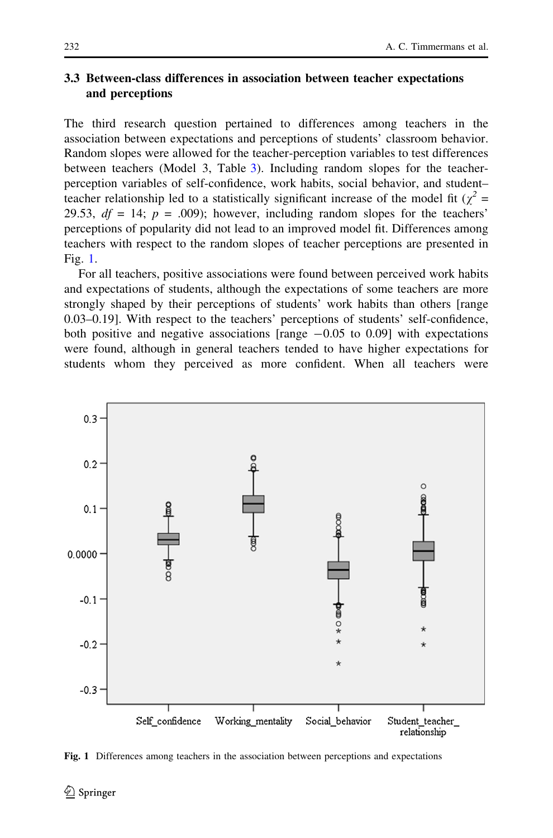## 3.3 Between-class differences in association between teacher expectations and perceptions

The third research question pertained to differences among teachers in the association between expectations and perceptions of students' classroom behavior. Random slopes were allowed for the teacher-perception variables to test differences between teachers (Model 3, Table [3](#page-13-0)). Including random slopes for the teacherperception variables of self-confidence, work habits, social behavior, and student– teacher relationship led to a statistically significant increase of the model fit ( $\chi^2$  = 29.53,  $df = 14$ ;  $p = .009$ ; however, including random slopes for the teachers' perceptions of popularity did not lead to an improved model fit. Differences among teachers with respect to the random slopes of teacher perceptions are presented in Fig. 1.

For all teachers, positive associations were found between perceived work habits and expectations of students, although the expectations of some teachers are more strongly shaped by their perceptions of students' work habits than others [range 0.03–0.19]. With respect to the teachers' perceptions of students' self-confidence, both positive and negative associations [range  $-0.05$  to 0.09] with expectations were found, although in general teachers tended to have higher expectations for students whom they perceived as more confident. When all teachers were



Fig. 1 Differences among teachers in the association between perceptions and expectations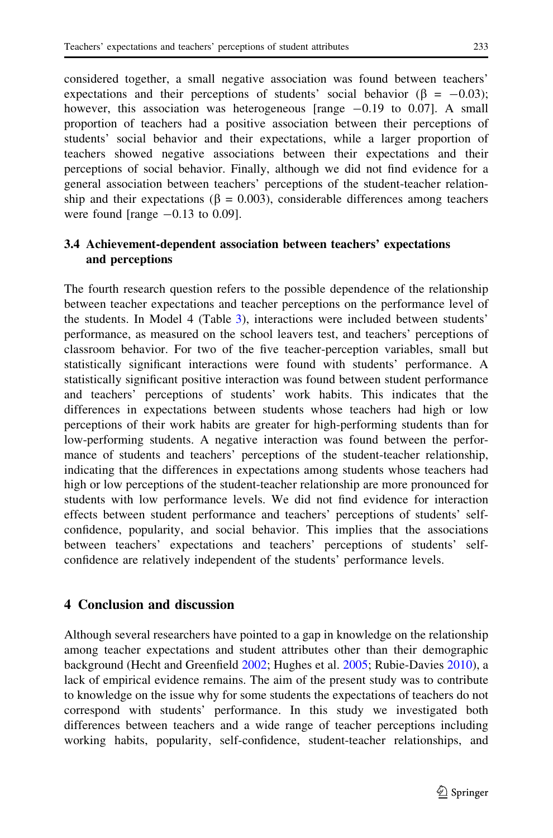considered together, a small negative association was found between teachers' expectations and their perceptions of students' social behavior ( $\beta = -0.03$ ); however, this association was heterogeneous [range  $-0.19$  to 0.07]. A small proportion of teachers had a positive association between their perceptions of students' social behavior and their expectations, while a larger proportion of teachers showed negative associations between their expectations and their perceptions of social behavior. Finally, although we did not find evidence for a general association between teachers' perceptions of the student-teacher relationship and their expectations ( $\beta = 0.003$ ), considerable differences among teachers were found [range  $-0.13$  to 0.09].

## 3.4 Achievement-dependent association between teachers' expectations and perceptions

The fourth research question refers to the possible dependence of the relationship between teacher expectations and teacher perceptions on the performance level of the students. In Model 4 (Table [3](#page-13-0)), interactions were included between students' performance, as measured on the school leavers test, and teachers' perceptions of classroom behavior. For two of the five teacher-perception variables, small but statistically significant interactions were found with students' performance. A statistically significant positive interaction was found between student performance and teachers' perceptions of students' work habits. This indicates that the differences in expectations between students whose teachers had high or low perceptions of their work habits are greater for high-performing students than for low-performing students. A negative interaction was found between the performance of students and teachers' perceptions of the student-teacher relationship, indicating that the differences in expectations among students whose teachers had high or low perceptions of the student-teacher relationship are more pronounced for students with low performance levels. We did not find evidence for interaction effects between student performance and teachers' perceptions of students' selfconfidence, popularity, and social behavior. This implies that the associations between teachers' expectations and teachers' perceptions of students' selfconfidence are relatively independent of the students' performance levels.

## 4 Conclusion and discussion

Although several researchers have pointed to a gap in knowledge on the relationship among teacher expectations and student attributes other than their demographic background (Hecht and Greenfield [2002](#page-23-0); Hughes et al. [2005;](#page-23-0) Rubie-Davies [2010\)](#page-24-0), a lack of empirical evidence remains. The aim of the present study was to contribute to knowledge on the issue why for some students the expectations of teachers do not correspond with students' performance. In this study we investigated both differences between teachers and a wide range of teacher perceptions including working habits, popularity, self-confidence, student-teacher relationships, and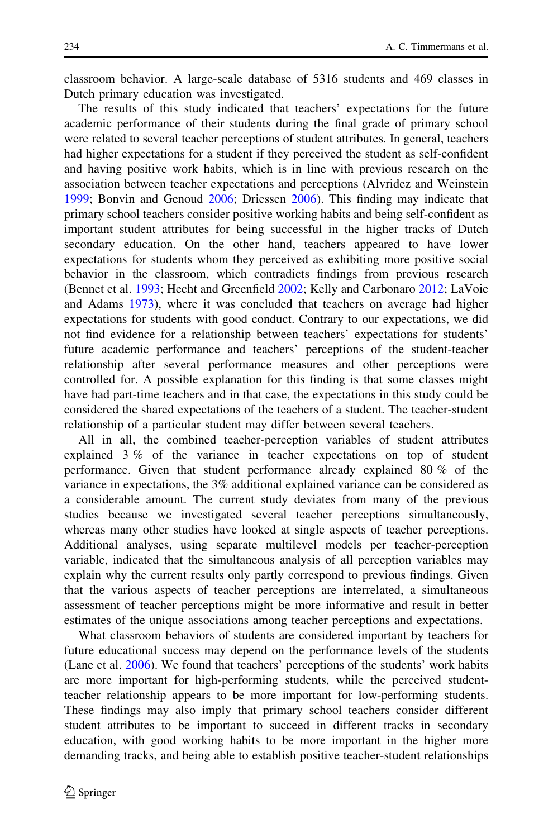classroom behavior. A large-scale database of 5316 students and 469 classes in Dutch primary education was investigated.

The results of this study indicated that teachers' expectations for the future academic performance of their students during the final grade of primary school were related to several teacher perceptions of student attributes. In general, teachers had higher expectations for a student if they perceived the student as self-confident and having positive work habits, which is in line with previous research on the association between teacher expectations and perceptions (Alvridez and Weinstein [1999;](#page-22-0) Bonvin and Genoud [2006;](#page-22-0) Driessen [2006\)](#page-22-0). This finding may indicate that primary school teachers consider positive working habits and being self-confident as important student attributes for being successful in the higher tracks of Dutch secondary education. On the other hand, teachers appeared to have lower expectations for students whom they perceived as exhibiting more positive social behavior in the classroom, which contradicts findings from previous research (Bennet et al. [1993](#page-22-0); Hecht and Greenfield [2002](#page-23-0); Kelly and Carbonaro [2012;](#page-23-0) LaVoie and Adams [1973\)](#page-23-0), where it was concluded that teachers on average had higher expectations for students with good conduct. Contrary to our expectations, we did not find evidence for a relationship between teachers' expectations for students' future academic performance and teachers' perceptions of the student-teacher relationship after several performance measures and other perceptions were controlled for. A possible explanation for this finding is that some classes might have had part-time teachers and in that case, the expectations in this study could be considered the shared expectations of the teachers of a student. The teacher-student relationship of a particular student may differ between several teachers.

All in all, the combined teacher-perception variables of student attributes explained 3 % of the variance in teacher expectations on top of student performance. Given that student performance already explained 80 % of the variance in expectations, the 3% additional explained variance can be considered as a considerable amount. The current study deviates from many of the previous studies because we investigated several teacher perceptions simultaneously, whereas many other studies have looked at single aspects of teacher perceptions. Additional analyses, using separate multilevel models per teacher-perception variable, indicated that the simultaneous analysis of all perception variables may explain why the current results only partly correspond to previous findings. Given that the various aspects of teacher perceptions are interrelated, a simultaneous assessment of teacher perceptions might be more informative and result in better estimates of the unique associations among teacher perceptions and expectations.

What classroom behaviors of students are considered important by teachers for future educational success may depend on the performance levels of the students (Lane et al. [2006\)](#page-23-0). We found that teachers' perceptions of the students' work habits are more important for high-performing students, while the perceived studentteacher relationship appears to be more important for low-performing students. These findings may also imply that primary school teachers consider different student attributes to be important to succeed in different tracks in secondary education, with good working habits to be more important in the higher more demanding tracks, and being able to establish positive teacher-student relationships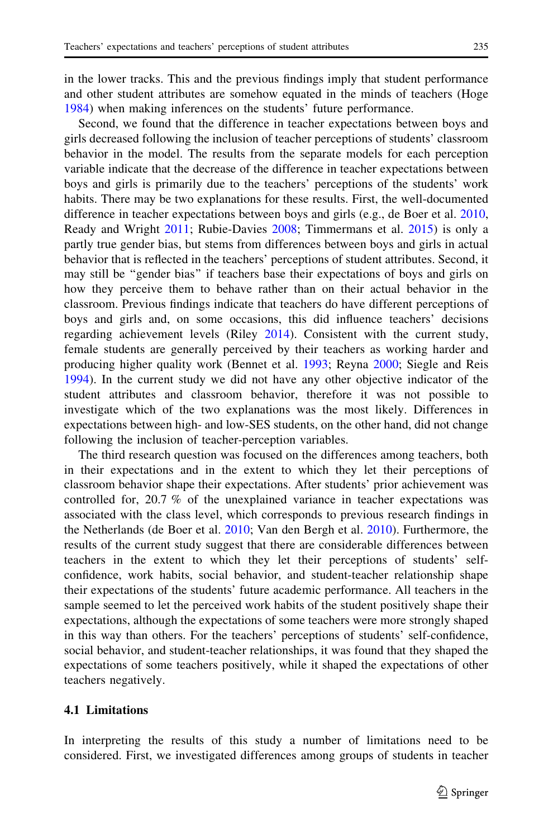in the lower tracks. This and the previous findings imply that student performance and other student attributes are somehow equated in the minds of teachers (Hoge [1984\)](#page-23-0) when making inferences on the students' future performance.

Second, we found that the difference in teacher expectations between boys and girls decreased following the inclusion of teacher perceptions of students' classroom behavior in the model. The results from the separate models for each perception variable indicate that the decrease of the difference in teacher expectations between boys and girls is primarily due to the teachers' perceptions of the students' work habits. There may be two explanations for these results. First, the well-documented difference in teacher expectations between boys and girls (e.g., de Boer et al. [2010,](#page-22-0) Ready and Wright [2011;](#page-23-0) Rubie-Davies [2008](#page-24-0); Timmermans et al. [2015\)](#page-24-0) is only a partly true gender bias, but stems from differences between boys and girls in actual behavior that is reflected in the teachers' perceptions of student attributes. Second, it may still be ''gender bias'' if teachers base their expectations of boys and girls on how they perceive them to behave rather than on their actual behavior in the classroom. Previous findings indicate that teachers do have different perceptions of boys and girls and, on some occasions, this did influence teachers' decisions regarding achievement levels (Riley [2014](#page-23-0)). Consistent with the current study, female students are generally perceived by their teachers as working harder and producing higher quality work (Bennet et al. [1993;](#page-22-0) Reyna [2000;](#page-23-0) Siegle and Reis [1994\)](#page-24-0). In the current study we did not have any other objective indicator of the student attributes and classroom behavior, therefore it was not possible to investigate which of the two explanations was the most likely. Differences in expectations between high- and low-SES students, on the other hand, did not change following the inclusion of teacher-perception variables.

The third research question was focused on the differences among teachers, both in their expectations and in the extent to which they let their perceptions of classroom behavior shape their expectations. After students' prior achievement was controlled for, 20.7 % of the unexplained variance in teacher expectations was associated with the class level, which corresponds to previous research findings in the Netherlands (de Boer et al. [2010;](#page-22-0) Van den Bergh et al. [2010\)](#page-24-0). Furthermore, the results of the current study suggest that there are considerable differences between teachers in the extent to which they let their perceptions of students' selfconfidence, work habits, social behavior, and student-teacher relationship shape their expectations of the students' future academic performance. All teachers in the sample seemed to let the perceived work habits of the student positively shape their expectations, although the expectations of some teachers were more strongly shaped in this way than others. For the teachers' perceptions of students' self-confidence, social behavior, and student-teacher relationships, it was found that they shaped the expectations of some teachers positively, while it shaped the expectations of other teachers negatively.

### 4.1 Limitations

In interpreting the results of this study a number of limitations need to be considered. First, we investigated differences among groups of students in teacher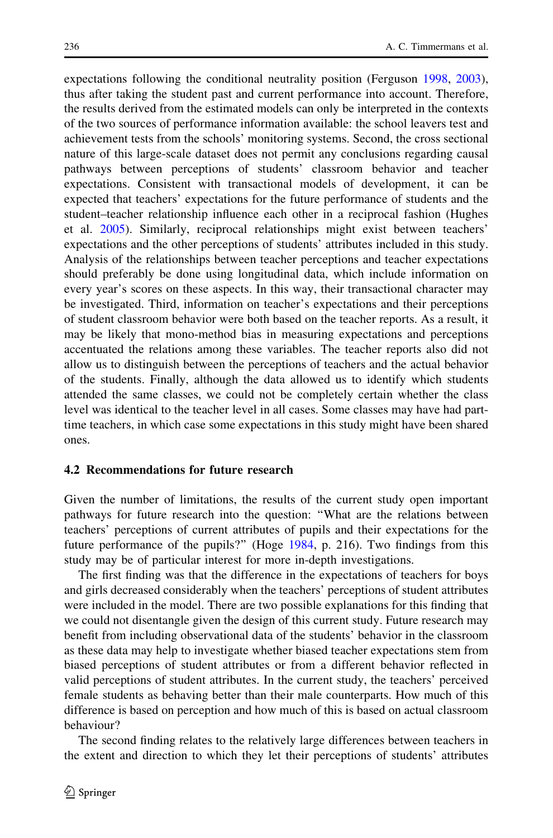expectations following the conditional neutrality position (Ferguson [1998](#page-22-0), [2003\)](#page-22-0), thus after taking the student past and current performance into account. Therefore, the results derived from the estimated models can only be interpreted in the contexts of the two sources of performance information available: the school leavers test and achievement tests from the schools' monitoring systems. Second, the cross sectional nature of this large-scale dataset does not permit any conclusions regarding causal pathways between perceptions of students' classroom behavior and teacher expectations. Consistent with transactional models of development, it can be expected that teachers' expectations for the future performance of students and the student–teacher relationship influence each other in a reciprocal fashion (Hughes et al. [2005](#page-23-0)). Similarly, reciprocal relationships might exist between teachers' expectations and the other perceptions of students' attributes included in this study. Analysis of the relationships between teacher perceptions and teacher expectations should preferably be done using longitudinal data, which include information on every year's scores on these aspects. In this way, their transactional character may be investigated. Third, information on teacher's expectations and their perceptions of student classroom behavior were both based on the teacher reports. As a result, it may be likely that mono-method bias in measuring expectations and perceptions accentuated the relations among these variables. The teacher reports also did not allow us to distinguish between the perceptions of teachers and the actual behavior of the students. Finally, although the data allowed us to identify which students attended the same classes, we could not be completely certain whether the class level was identical to the teacher level in all cases. Some classes may have had parttime teachers, in which case some expectations in this study might have been shared ones.

#### 4.2 Recommendations for future research

Given the number of limitations, the results of the current study open important pathways for future research into the question: ''What are the relations between teachers' perceptions of current attributes of pupils and their expectations for the future performance of the pupils?'' (Hoge [1984](#page-23-0), p. 216). Two findings from this study may be of particular interest for more in-depth investigations.

The first finding was that the difference in the expectations of teachers for boys and girls decreased considerably when the teachers' perceptions of student attributes were included in the model. There are two possible explanations for this finding that we could not disentangle given the design of this current study. Future research may benefit from including observational data of the students' behavior in the classroom as these data may help to investigate whether biased teacher expectations stem from biased perceptions of student attributes or from a different behavior reflected in valid perceptions of student attributes. In the current study, the teachers' perceived female students as behaving better than their male counterparts. How much of this difference is based on perception and how much of this is based on actual classroom behaviour?

The second finding relates to the relatively large differences between teachers in the extent and direction to which they let their perceptions of students' attributes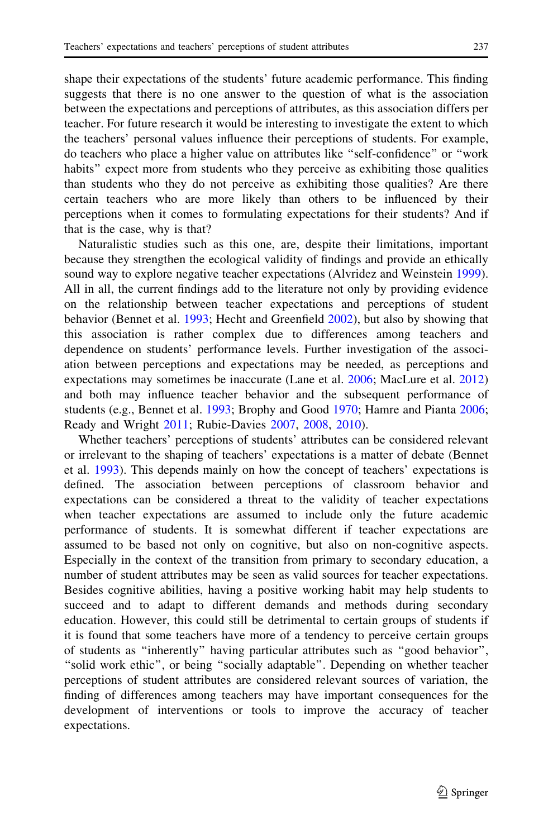shape their expectations of the students' future academic performance. This finding suggests that there is no one answer to the question of what is the association between the expectations and perceptions of attributes, as this association differs per teacher. For future research it would be interesting to investigate the extent to which the teachers' personal values influence their perceptions of students. For example, do teachers who place a higher value on attributes like ''self-confidence'' or ''work habits" expect more from students who they perceive as exhibiting those qualities than students who they do not perceive as exhibiting those qualities? Are there certain teachers who are more likely than others to be influenced by their perceptions when it comes to formulating expectations for their students? And if that is the case, why is that?

Naturalistic studies such as this one, are, despite their limitations, important because they strengthen the ecological validity of findings and provide an ethically sound way to explore negative teacher expectations (Alvridez and Weinstein [1999\)](#page-22-0). All in all, the current findings add to the literature not only by providing evidence on the relationship between teacher expectations and perceptions of student behavior (Bennet et al. [1993](#page-22-0); Hecht and Greenfield [2002\)](#page-23-0), but also by showing that this association is rather complex due to differences among teachers and dependence on students' performance levels. Further investigation of the association between perceptions and expectations may be needed, as perceptions and expectations may sometimes be inaccurate (Lane et al. [2006](#page-23-0); MacLure et al. [2012](#page-23-0)) and both may influence teacher behavior and the subsequent performance of students (e.g., Bennet et al. [1993;](#page-22-0) Brophy and Good [1970;](#page-22-0) Hamre and Pianta [2006;](#page-22-0) Ready and Wright [2011](#page-23-0); Rubie-Davies [2007](#page-24-0), [2008](#page-24-0), [2010](#page-24-0)).

Whether teachers' perceptions of students' attributes can be considered relevant or irrelevant to the shaping of teachers' expectations is a matter of debate (Bennet et al. [1993\)](#page-22-0). This depends mainly on how the concept of teachers' expectations is defined. The association between perceptions of classroom behavior and expectations can be considered a threat to the validity of teacher expectations when teacher expectations are assumed to include only the future academic performance of students. It is somewhat different if teacher expectations are assumed to be based not only on cognitive, but also on non-cognitive aspects. Especially in the context of the transition from primary to secondary education, a number of student attributes may be seen as valid sources for teacher expectations. Besides cognitive abilities, having a positive working habit may help students to succeed and to adapt to different demands and methods during secondary education. However, this could still be detrimental to certain groups of students if it is found that some teachers have more of a tendency to perceive certain groups of students as ''inherently'' having particular attributes such as ''good behavior'', "solid work ethic", or being "socially adaptable". Depending on whether teacher perceptions of student attributes are considered relevant sources of variation, the finding of differences among teachers may have important consequences for the development of interventions or tools to improve the accuracy of teacher expectations.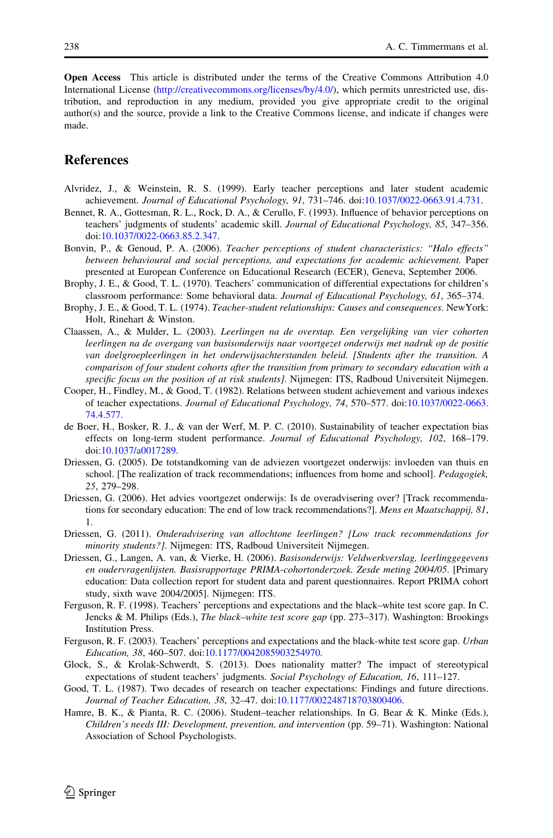<span id="page-22-0"></span>Open Access This article is distributed under the terms of the Creative Commons Attribution 4.0 International License ([http://creativecommons.org/licenses/by/4.0/\)](http://creativecommons.org/licenses/by/4.0/), which permits unrestricted use, distribution, and reproduction in any medium, provided you give appropriate credit to the original author(s) and the source, provide a link to the Creative Commons license, and indicate if changes were made.

## **References**

- Alvridez, J., & Weinstein, R. S. (1999). Early teacher perceptions and later student academic achievement. Journal of Educational Psychology, 91, 731–746. doi:[10.1037/0022-0663.91.4.731](http://dx.doi.org/10.1037/0022-0663.91.4.731).
- Bennet, R. A., Gottesman, R. L., Rock, D. A., & Cerullo, F. (1993). Influence of behavior perceptions on teachers' judgments of students' academic skill. Journal of Educational Psychology, 85, 347–356. doi[:10.1037/0022-0663.85.2.347.](http://dx.doi.org/10.1037/0022-0663.85.2.347)
- Bonvin, P., & Genoud, P. A. (2006). Teacher perceptions of student characteristics: ''Halo effects'' between behavioural and social perceptions, and expectations for academic achievement. Paper presented at European Conference on Educational Research (ECER), Geneva, September 2006.
- Brophy, J. E., & Good, T. L. (1970). Teachers' communication of differential expectations for children's classroom performance: Some behavioral data. Journal of Educational Psychology, 61, 365–374.
- Brophy, J. E., & Good, T. L. (1974). Teacher-student relationships: Causes and consequences. NewYork: Holt, Rinehart & Winston.
- Claassen, A., & Mulder, L. (2003). Leerlingen na de overstap. Een vergelijking van vier cohorten leerlingen na de overgang van basisonderwijs naar voortgezet onderwijs met nadruk op de positie van doelgroepleerlingen in het onderwijsachterstanden beleid. [Students after the transition. A comparison of four student cohorts after the transition from primary to secondary education with a specific focus on the position of at risk students]. Nijmegen: ITS, Radboud Universiteit Nijmegen.
- Cooper, H., Findley, M., & Good, T. (1982). Relations between student achievement and various indexes of teacher expectations. Journal of Educational Psychology, 74, 570–577. doi:[10.1037/0022-0663.](http://dx.doi.org/10.1037/0022-0663.74.4.577) [74.4.577.](http://dx.doi.org/10.1037/0022-0663.74.4.577)
- de Boer, H., Bosker, R. J., & van der Werf, M. P. C. (2010). Sustainability of teacher expectation bias effects on long-term student performance. Journal of Educational Psychology, 102, 168–179. doi[:10.1037/a0017289.](http://dx.doi.org/10.1037/a0017289)
- Driessen, G. (2005). De totstandkoming van de adviezen voortgezet onderwijs: invloeden van thuis en school. [The realization of track recommendations; influences from home and school]. *Pedagogiek*, 25, 279–298.
- Driessen, G. (2006). Het advies voortgezet onderwijs: Is de overadvisering over? [Track recommendations for secondary education: The end of low track recommendations?]. Mens en Maatschappij, 81, 1.
- Driessen, G. (2011). Onderadvisering van allochtone leerlingen? [Low track recommendations for minority students?]. Nijmegen: ITS, Radboud Universiteit Nijmegen.
- Driessen, G., Langen, A. van, & Vierke, H. (2006). Basisonderwijs: Veldwerkverslag, leerlinggegevens en oudervragenlijsten. Basisrapportage PRIMA-cohortonderzoek. Zesde meting 2004/05. [Primary education: Data collection report for student data and parent questionnaires. Report PRIMA cohort study, sixth wave 2004/2005]. Nijmegen: ITS.
- Ferguson, R. F. (1998). Teachers' perceptions and expectations and the black–white test score gap. In C. Jencks & M. Philips (Eds.), The black–white test score gap (pp. 273–317). Washington: Brookings Institution Press.
- Ferguson, R. F. (2003). Teachers' perceptions and expectations and the black-white test score gap. Urban Education, 38, 460–507. doi:[10.1177/0042085903254970.](http://dx.doi.org/10.1177/0042085903254970)
- Glock, S., & Krolak-Schwerdt, S. (2013). Does nationality matter? The impact of stereotypical expectations of student teachers' judgments. Social Psychology of Education, 16, 111–127.
- Good, T. L. (1987). Two decades of research on teacher expectations: Findings and future directions. Journal of Teacher Education, 38, 32–47. doi[:10.1177/002248718703800406.](http://dx.doi.org/10.1177/002248718703800406)
- Hamre, B. K., & Pianta, R. C. (2006). Student–teacher relationships. In G. Bear & K. Minke (Eds.), Children's needs III: Development, prevention, and intervention (pp. 59–71). Washington: National Association of School Psychologists.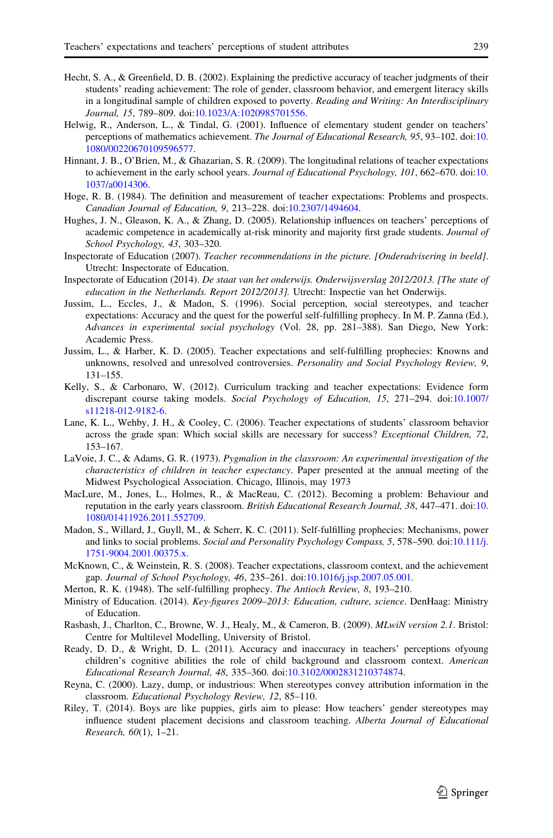- <span id="page-23-0"></span>Hecht, S. A., & Greenfield, D. B. (2002). Explaining the predictive accuracy of teacher judgments of their students' reading achievement: The role of gender, classroom behavior, and emergent literacy skills in a longitudinal sample of children exposed to poverty. Reading and Writing: An Interdisciplinary Journal, 15, 789–809. doi:[10.1023/A:1020985701556.](http://dx.doi.org/10.1023/A:1020985701556)
- Helwig, R., Anderson, L., & Tindal, G. (2001). Influence of elementary student gender on teachers' perceptions of mathematics achievement. The Journal of Educational Research, 95, 93–102. doi[:10.](http://dx.doi.org/10.1080/00220670109596577) [1080/00220670109596577.](http://dx.doi.org/10.1080/00220670109596577)
- Hinnant, J. B., O'Brien, M., & Ghazarian, S. R. (2009). The longitudinal relations of teacher expectations to achievement in the early school years. Journal of Educational Psychology, 101, 662-670. doi[:10.](http://dx.doi.org/10.1037/a0014306) [1037/a0014306.](http://dx.doi.org/10.1037/a0014306)
- Hoge, R. B. (1984). The definition and measurement of teacher expectations: Problems and prospects. Canadian Journal of Education, 9, 213–228. doi[:10.2307/1494604](http://dx.doi.org/10.2307/1494604).
- Hughes, J. N., Gleason, K. A., & Zhang, D. (2005). Relationship influences on teachers' perceptions of academic competence in academically at-risk minority and majority first grade students. Journal of School Psychology, 43, 303–320.
- Inspectorate of Education (2007). Teacher recommendations in the picture. [Onderadvisering in beeld]. Utrecht: Inspectorate of Education.
- Inspectorate of Education (2014). De staat van het onderwijs. Onderwijsverslag 2012/2013. [The state of education in the Netherlands. Report 2012/2013]. Utrecht: Inspectie van het Onderwijs.
- Jussim, L., Eccles, J., & Madon, S. (1996). Social perception, social stereotypes, and teacher expectations: Accuracy and the quest for the powerful self-fulfilling prophecy. In M. P. Zanna (Ed.), Advances in experimental social psychology (Vol. 28, pp. 281–388). San Diego, New York: Academic Press.
- Jussim, L., & Harber, K. D. (2005). Teacher expectations and self-fulfilling prophecies: Knowns and unknowns, resolved and unresolved controversies. Personality and Social Psychology Review, 9, 131–155.
- Kelly, S., & Carbonaro, W. (2012). Curriculum tracking and teacher expectations: Evidence form discrepant course taking models. Social Psychology of Education, 15, 271–294. doi[:10.1007/](http://dx.doi.org/10.1007/s11218-012-9182-6) [s11218-012-9182-6.](http://dx.doi.org/10.1007/s11218-012-9182-6)
- Lane, K. L., Wehby, J. H., & Cooley, C. (2006). Teacher expectations of students' classroom behavior across the grade span: Which social skills are necessary for success? Exceptional Children, 72, 153–167.
- LaVoie, J. C., & Adams, G. R. (1973). Pygmalion in the classroom: An experimental investigation of the characteristics of children in teacher expectancy. Paper presented at the annual meeting of the Midwest Psychological Association. Chicago, Illinois, may 1973
- MacLure, M., Jones, L., Holmes, R., & MacReau, C. (2012). Becoming a problem: Behaviour and reputation in the early years classroom. British Educational Research Journal, 38, 447–471. doi[:10.](http://dx.doi.org/10.1080/01411926.2011.552709) [1080/01411926.2011.552709.](http://dx.doi.org/10.1080/01411926.2011.552709)
- Madon, S., Willard, J., Guyll, M., & Scherr, K. C. (2011). Self-fulfilling prophecies: Mechanisms, power and links to social problems. Social and Personality Psychology Compass, 5, 578–590. doi[:10.111/j.](http://dx.doi.org/10.111/j.1751-9004.2001.00375.x) [1751-9004.2001.00375.x](http://dx.doi.org/10.111/j.1751-9004.2001.00375.x).
- McKnown, C., & Weinstein, R. S. (2008). Teacher expectations, classroom context, and the achievement gap. Journal of School Psychology, 46, 235–261. doi:[10.1016/j.jsp.2007.05.001.](http://dx.doi.org/10.1016/j.jsp.2007.05.001)
- Merton, R. K. (1948). The self-fulfilling prophecy. The Antioch Review, 8, 193–210.
- Ministry of Education. (2014). Key-figures 2009-2013: Education, culture, science. DenHaag: Ministry of Education.
- Rasbash, J., Charlton, C., Browne, W. J., Healy, M., & Cameron, B. (2009). MLwiN version 2.1. Bristol: Centre for Multilevel Modelling, University of Bristol.
- Ready, D. D., & Wright, D. L. (2011). Accuracy and inaccuracy in teachers' perceptions ofyoung children's cognitive abilities the role of child background and classroom context. American Educational Research Journal, 48, 335–360. doi:[10.3102/0002831210374874](http://dx.doi.org/10.3102/0002831210374874).
- Reyna, C. (2000). Lazy, dump, or industrious: When stereotypes convey attribution information in the classroom. Educational Psychology Review, 12, 85–110.
- Riley, T. (2014). Boys are like puppies, girls aim to please: How teachers' gender stereotypes may influence student placement decisions and classroom teaching. Alberta Journal of Educational Research, 60(1), 1–21.